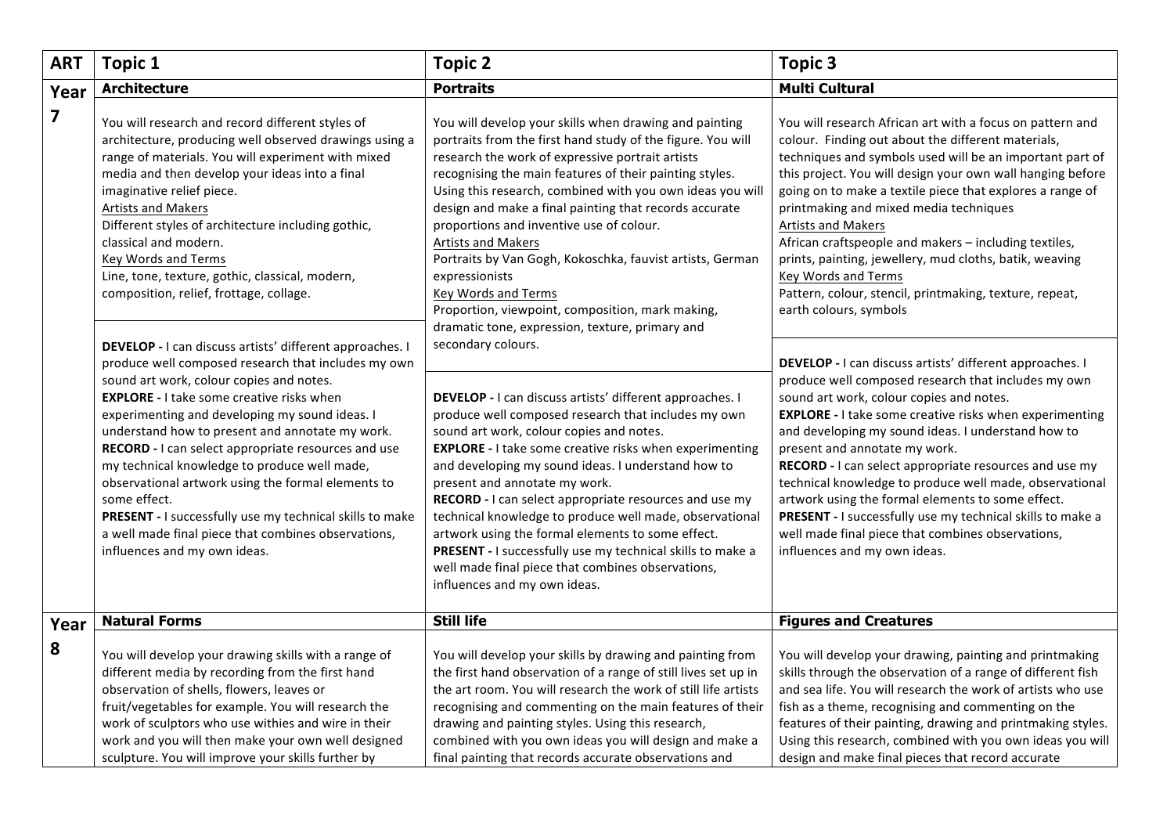| <b>ART</b>              | <b>Topic 1</b>                                                                                                                                                                                                                                                                                                                                                                                                                                                                                                                                                                                                                                       | <b>Topic 2</b>                                                                                                                                                                                                                                                                                                                                                                                                                                                                                                                                                                                                                                                          | <b>Topic 3</b>                                                                                                                                                                                                                                                                                                                                                                                                                                                                                                                                                                                                                                    |
|-------------------------|------------------------------------------------------------------------------------------------------------------------------------------------------------------------------------------------------------------------------------------------------------------------------------------------------------------------------------------------------------------------------------------------------------------------------------------------------------------------------------------------------------------------------------------------------------------------------------------------------------------------------------------------------|-------------------------------------------------------------------------------------------------------------------------------------------------------------------------------------------------------------------------------------------------------------------------------------------------------------------------------------------------------------------------------------------------------------------------------------------------------------------------------------------------------------------------------------------------------------------------------------------------------------------------------------------------------------------------|---------------------------------------------------------------------------------------------------------------------------------------------------------------------------------------------------------------------------------------------------------------------------------------------------------------------------------------------------------------------------------------------------------------------------------------------------------------------------------------------------------------------------------------------------------------------------------------------------------------------------------------------------|
| Year                    | <b>Architecture</b>                                                                                                                                                                                                                                                                                                                                                                                                                                                                                                                                                                                                                                  | <b>Portraits</b>                                                                                                                                                                                                                                                                                                                                                                                                                                                                                                                                                                                                                                                        | <b>Multi Cultural</b>                                                                                                                                                                                                                                                                                                                                                                                                                                                                                                                                                                                                                             |
| $\overline{\mathbf{z}}$ | You will research and record different styles of<br>architecture, producing well observed drawings using a<br>range of materials. You will experiment with mixed<br>media and then develop your ideas into a final<br>imaginative relief piece.<br><b>Artists and Makers</b><br>Different styles of architecture including gothic,<br>classical and modern.<br>Key Words and Terms<br>Line, tone, texture, gothic, classical, modern,<br>composition, relief, frottage, collage.                                                                                                                                                                     | You will develop your skills when drawing and painting<br>portraits from the first hand study of the figure. You will<br>research the work of expressive portrait artists<br>recognising the main features of their painting styles.<br>Using this research, combined with you own ideas you will<br>design and make a final painting that records accurate<br>proportions and inventive use of colour.<br><b>Artists and Makers</b><br>Portraits by Van Gogh, Kokoschka, fauvist artists, German<br>expressionists<br>Key Words and Terms<br>Proportion, viewpoint, composition, mark making,<br>dramatic tone, expression, texture, primary and                       | You will research African art with a focus on pattern and<br>colour. Finding out about the different materials,<br>techniques and symbols used will be an important part of<br>this project. You will design your own wall hanging before<br>going on to make a textile piece that explores a range of<br>printmaking and mixed media techniques<br><b>Artists and Makers</b><br>African craftspeople and makers - including textiles,<br>prints, painting, jewellery, mud cloths, batik, weaving<br>Key Words and Terms<br>Pattern, colour, stencil, printmaking, texture, repeat,<br>earth colours, symbols                                     |
|                         | DEVELOP - I can discuss artists' different approaches. I<br>produce well composed research that includes my own<br>sound art work, colour copies and notes.<br><b>EXPLORE - I take some creative risks when</b><br>experimenting and developing my sound ideas. I<br>understand how to present and annotate my work.<br>RECORD - I can select appropriate resources and use<br>my technical knowledge to produce well made,<br>observational artwork using the formal elements to<br>some effect.<br>PRESENT - I successfully use my technical skills to make<br>a well made final piece that combines observations,<br>influences and my own ideas. | secondary colours.<br>DEVELOP - I can discuss artists' different approaches. I<br>produce well composed research that includes my own<br>sound art work, colour copies and notes.<br><b>EXPLORE - I take some creative risks when experimenting</b><br>and developing my sound ideas. I understand how to<br>present and annotate my work.<br>RECORD - I can select appropriate resources and use my<br>technical knowledge to produce well made, observational<br>artwork using the formal elements to some effect.<br>PRESENT - I successfully use my technical skills to make a<br>well made final piece that combines observations,<br>influences and my own ideas. | DEVELOP - I can discuss artists' different approaches. I<br>produce well composed research that includes my own<br>sound art work, colour copies and notes.<br><b>EXPLORE - I take some creative risks when experimenting</b><br>and developing my sound ideas. I understand how to<br>present and annotate my work.<br>RECORD - I can select appropriate resources and use my<br>technical knowledge to produce well made, observational<br>artwork using the formal elements to some effect.<br>PRESENT - I successfully use my technical skills to make a<br>well made final piece that combines observations,<br>influences and my own ideas. |
| Year                    | <b>Natural Forms</b>                                                                                                                                                                                                                                                                                                                                                                                                                                                                                                                                                                                                                                 | <b>Still life</b>                                                                                                                                                                                                                                                                                                                                                                                                                                                                                                                                                                                                                                                       | <b>Figures and Creatures</b>                                                                                                                                                                                                                                                                                                                                                                                                                                                                                                                                                                                                                      |
| 8                       | You will develop your drawing skills with a range of<br>different media by recording from the first hand<br>observation of shells, flowers, leaves or<br>fruit/vegetables for example. You will research the<br>work of sculptors who use withies and wire in their<br>work and you will then make your own well designed<br>sculpture. You will improve your skills further by                                                                                                                                                                                                                                                                      | You will develop your skills by drawing and painting from<br>the first hand observation of a range of still lives set up in<br>the art room. You will research the work of still life artists<br>recognising and commenting on the main features of their<br>drawing and painting styles. Using this research,<br>combined with you own ideas you will design and make a<br>final painting that records accurate observations and                                                                                                                                                                                                                                       | You will develop your drawing, painting and printmaking<br>skills through the observation of a range of different fish<br>and sea life. You will research the work of artists who use<br>fish as a theme, recognising and commenting on the<br>features of their painting, drawing and printmaking styles.<br>Using this research, combined with you own ideas you will<br>design and make final pieces that record accurate                                                                                                                                                                                                                      |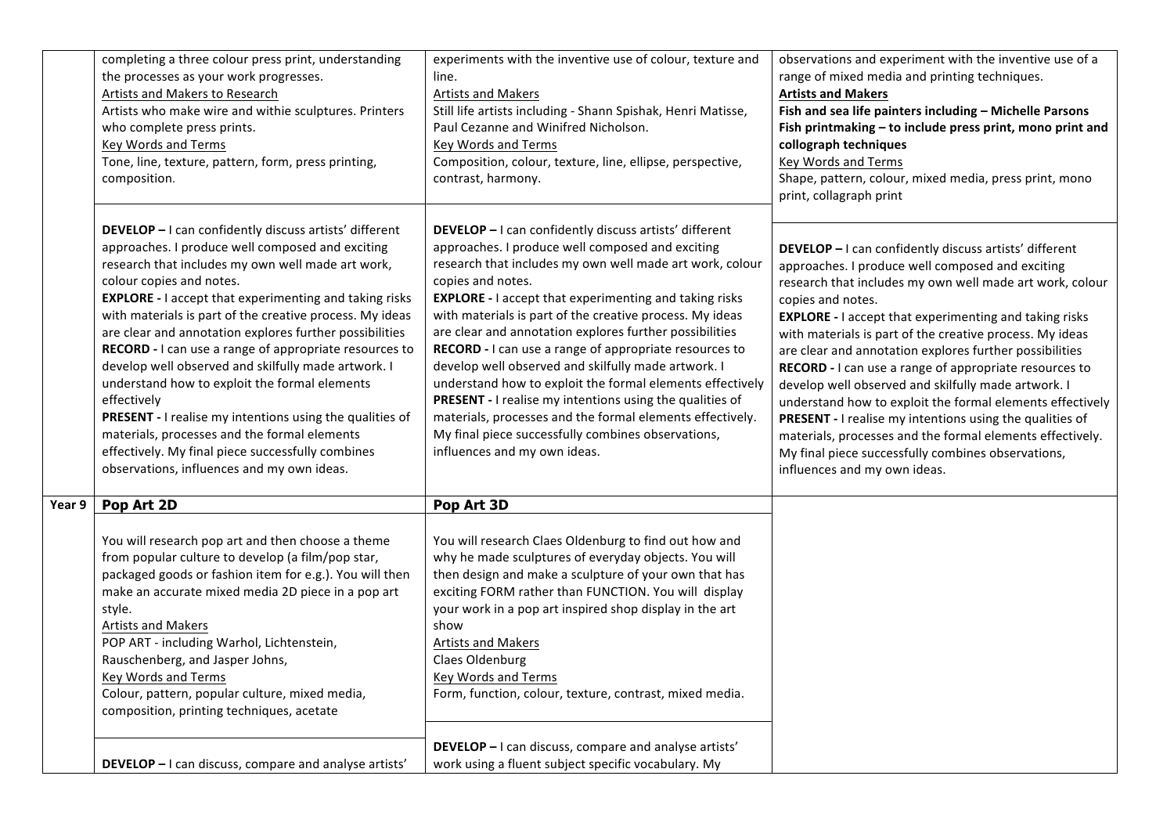|        | completing a three colour press print, understanding<br>the processes as your work progresses.<br>Artists and Makers to Research<br>Artists who make wire and withie sculptures. Printers<br>who complete press prints.<br><b>Key Words and Terms</b><br>Tone, line, texture, pattern, form, press printing,<br>composition.                                                                                                                                                                                                                                                                                                                                                                                                                                                        | experiments with the inventive use of colour, texture and<br>line.<br><b>Artists and Makers</b><br>Still life artists including - Shann Spishak, Henri Matisse,<br>Paul Cezanne and Winifred Nicholson.<br><b>Key Words and Terms</b><br>Composition, colour, texture, line, ellipse, perspective,<br>contrast, harmony.                                                                                                                                                                                                                                                                                                                                                                                                                                                         | observations and experiment with the inventive use of a<br>range of mixed media and printing techniques.<br><b>Artists and Makers</b><br>Fish and sea life painters including - Michelle Parsons<br>Fish printmaking - to include press print, mono print and<br>collograph techniques<br>Key Words and Terms<br>Shape, pattern, colour, mixed media, press print, mono<br>print, collagraph print                                                                                                                                                                                                                                                                                                                                                                               |
|--------|-------------------------------------------------------------------------------------------------------------------------------------------------------------------------------------------------------------------------------------------------------------------------------------------------------------------------------------------------------------------------------------------------------------------------------------------------------------------------------------------------------------------------------------------------------------------------------------------------------------------------------------------------------------------------------------------------------------------------------------------------------------------------------------|----------------------------------------------------------------------------------------------------------------------------------------------------------------------------------------------------------------------------------------------------------------------------------------------------------------------------------------------------------------------------------------------------------------------------------------------------------------------------------------------------------------------------------------------------------------------------------------------------------------------------------------------------------------------------------------------------------------------------------------------------------------------------------|----------------------------------------------------------------------------------------------------------------------------------------------------------------------------------------------------------------------------------------------------------------------------------------------------------------------------------------------------------------------------------------------------------------------------------------------------------------------------------------------------------------------------------------------------------------------------------------------------------------------------------------------------------------------------------------------------------------------------------------------------------------------------------|
|        | DEVELOP - I can confidently discuss artists' different<br>approaches. I produce well composed and exciting<br>research that includes my own well made art work,<br>colour copies and notes.<br><b>EXPLORE - I</b> accept that experimenting and taking risks<br>with materials is part of the creative process. My ideas<br>are clear and annotation explores further possibilities<br>RECORD - I can use a range of appropriate resources to<br>develop well observed and skilfully made artwork. I<br>understand how to exploit the formal elements<br>effectively<br>PRESENT - I realise my intentions using the qualities of<br>materials, processes and the formal elements<br>effectively. My final piece successfully combines<br>observations, influences and my own ideas. | DEVELOP - I can confidently discuss artists' different<br>approaches. I produce well composed and exciting<br>research that includes my own well made art work, colour<br>copies and notes.<br><b>EXPLORE - I</b> accept that experimenting and taking risks<br>with materials is part of the creative process. My ideas<br>are clear and annotation explores further possibilities<br>RECORD - I can use a range of appropriate resources to<br>develop well observed and skilfully made artwork. I<br>understand how to exploit the formal elements effectively<br>PRESENT - I realise my intentions using the qualities of<br>materials, processes and the formal elements effectively.<br>My final piece successfully combines observations,<br>influences and my own ideas. | DEVELOP - I can confidently discuss artists' different<br>approaches. I produce well composed and exciting<br>research that includes my own well made art work, colour<br>copies and notes.<br><b>EXPLORE - I</b> accept that experimenting and taking risks<br>with materials is part of the creative process. My ideas<br>are clear and annotation explores further possibilities<br>RECORD - I can use a range of appropriate resources to<br>develop well observed and skilfully made artwork. I<br>understand how to exploit the formal elements effectively<br>PRESENT - I realise my intentions using the qualities of<br>materials, processes and the formal elements effectively.<br>My final piece successfully combines observations,<br>influences and my own ideas. |
| Year 9 | Pop Art 2D                                                                                                                                                                                                                                                                                                                                                                                                                                                                                                                                                                                                                                                                                                                                                                          | Pop Art 3D                                                                                                                                                                                                                                                                                                                                                                                                                                                                                                                                                                                                                                                                                                                                                                       |                                                                                                                                                                                                                                                                                                                                                                                                                                                                                                                                                                                                                                                                                                                                                                                  |
|        | You will research pop art and then choose a theme<br>from popular culture to develop (a film/pop star,<br>packaged goods or fashion item for e.g.). You will then<br>make an accurate mixed media 2D piece in a pop art<br>style.<br><b>Artists and Makers</b><br>POP ART - including Warhol, Lichtenstein,<br>Rauschenberg, and Jasper Johns,<br>Key Words and Terms<br>Colour, pattern, popular culture, mixed media,<br>composition, printing techniques, acetate                                                                                                                                                                                                                                                                                                                | You will research Claes Oldenburg to find out how and<br>why he made sculptures of everyday objects. You will<br>then design and make a sculpture of your own that has<br>exciting FORM rather than FUNCTION. You will display<br>your work in a pop art inspired shop display in the art<br>show<br>Artists and Makers<br>Claes Oldenburg<br>Key Words and Terms<br>Form, function, colour, texture, contrast, mixed media.                                                                                                                                                                                                                                                                                                                                                     |                                                                                                                                                                                                                                                                                                                                                                                                                                                                                                                                                                                                                                                                                                                                                                                  |
|        | <b>DEVELOP</b> - I can discuss, compare and analyse artists'                                                                                                                                                                                                                                                                                                                                                                                                                                                                                                                                                                                                                                                                                                                        | DEVELOP - I can discuss, compare and analyse artists'<br>work using a fluent subject specific vocabulary. My                                                                                                                                                                                                                                                                                                                                                                                                                                                                                                                                                                                                                                                                     |                                                                                                                                                                                                                                                                                                                                                                                                                                                                                                                                                                                                                                                                                                                                                                                  |